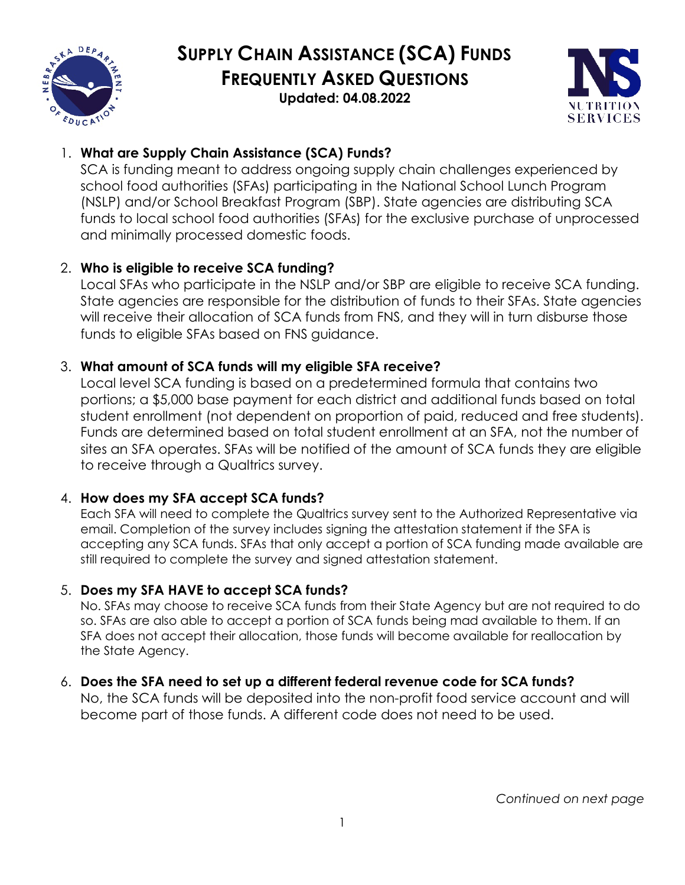

# **SUPPLY CHAIN ASSISTANCE (SCA) FUNDS FREQUENTLY ASKED QUESTIONS**

**Updated: 04.08.2022** 



# 1. **What are Supply Chain Assistance (SCA) Funds?**

SCA is funding meant to address ongoing supply chain challenges experienced by school food authorities (SFAs) participating in the National School Lunch Program (NSLP) and/or School Breakfast Program (SBP). State agencies are distributing SCA funds to local school food authorities (SFAs) for the exclusive purchase of unprocessed and minimally processed domestic foods.

# 2. **Who is eligible to receive SCA funding?**

Local SFAs who participate in the NSLP and/or SBP are eligible to receive SCA funding. State agencies are responsible for the distribution of funds to their SFAs. State agencies will receive their allocation of SCA funds from FNS, and they will in turn disburse those funds to eligible SFAs based on FNS guidance.

## 3. **What amount of SCA funds will my eligible SFA receive?**

Local level SCA funding is based on a predetermined formula that contains two portions; a \$5,000 base payment for each district and additional funds based on total student enrollment (not dependent on proportion of paid, reduced and free students). Funds are determined based on total student enrollment at an SFA, not the number of sites an SFA operates. SFAs will be notified of the amount of SCA funds they are eligible to receive through a Qualtrics survey.

## 4. **How does my SFA accept SCA funds?**

Each SFA will need to complete the Qualtrics survey sent to the Authorized Representative via email. Completion of the survey includes signing the attestation statement if the SFA is accepting any SCA funds. SFAs that only accept a portion of SCA funding made available are still required to complete the survey and signed attestation statement.

## 5. **Does my SFA HAVE to accept SCA funds?**

No. SFAs may choose to receive SCA funds from their State Agency but are not required to do so. SFAs are also able to accept a portion of SCA funds being mad available to them. If an SFA does not accept their allocation, those funds will become available for reallocation by the State Agency.

# 6. **Does the SFA need to set up a different federal revenue code for SCA funds?**

No, the SCA funds will be deposited into the non-profit food service account and will become part of those funds. A different code does not need to be used.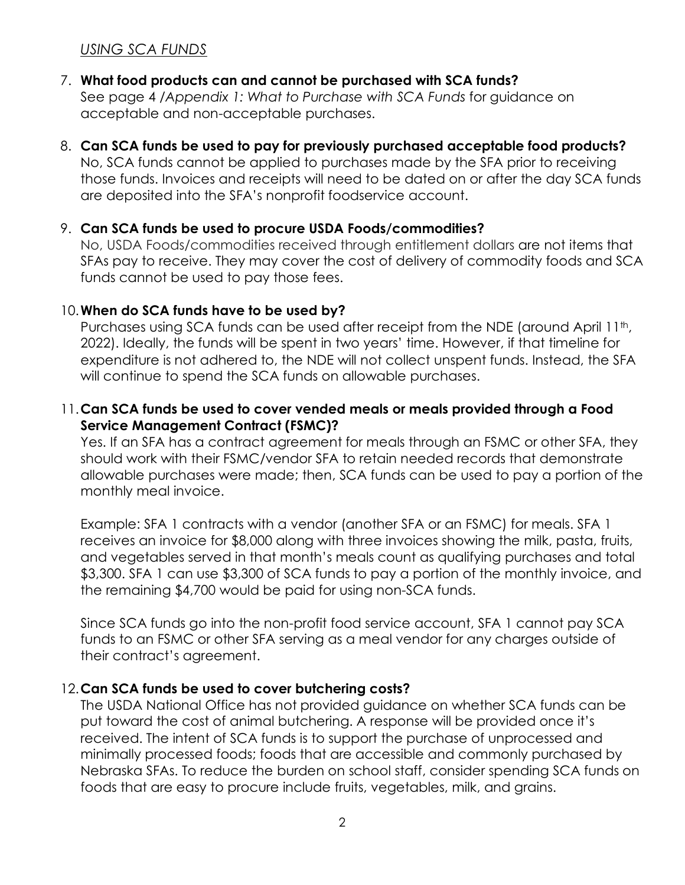## *USING SCA FUNDS*

## 7. **What food products can and cannot be purchased with SCA funds?**

See page 4 /*Appendix 1: What to Purchase with SCA Funds* for guidance on acceptable and non-acceptable purchases.

#### 8. **Can SCA funds be used to pay for previously purchased acceptable food products?**

No, SCA funds cannot be applied to purchases made by the SFA prior to receiving those funds. Invoices and receipts will need to be dated on or after the day SCA funds are deposited into the SFA's nonprofit foodservice account.

#### 9. **Can SCA funds be used to procure USDA Foods/commodities?**

No, USDA Foods/commodities received through entitlement dollars are not items that SFAs pay to receive. They may cover the cost of delivery of commodity foods and SCA funds cannot be used to pay those fees.

#### 10.**When do SCA funds have to be used by?**

Purchases using SCA funds can be used after receipt from the NDE (around April 11<sup>th</sup>, 2022). Ideally, the funds will be spent in two years' time. However, if that timeline for expenditure is not adhered to, the NDE will not collect unspent funds. Instead, the SFA will continue to spend the SCA funds on allowable purchases.

#### 11.**Can SCA funds be used to cover vended meals or meals provided through a Food Service Management Contract (FSMC)?**

Yes. If an SFA has a contract agreement for meals through an FSMC or other SFA, they should work with their FSMC/vendor SFA to retain needed records that demonstrate allowable purchases were made; then, SCA funds can be used to pay a portion of the monthly meal invoice.

Example: SFA 1 contracts with a vendor (another SFA or an FSMC) for meals. SFA 1 receives an invoice for \$8,000 along with three invoices showing the milk, pasta, fruits, and vegetables served in that month's meals count as qualifying purchases and total \$3,300. SFA 1 can use \$3,300 of SCA funds to pay a portion of the monthly invoice, and the remaining \$4,700 would be paid for using non-SCA funds.

Since SCA funds go into the non-profit food service account, SFA 1 cannot pay SCA funds to an FSMC or other SFA serving as a meal vendor for any charges outside of their contract's agreement.

#### 12.**Can SCA funds be used to cover butchering costs?**

The USDA National Office has not provided guidance on whether SCA funds can be put toward the cost of animal butchering. A response will be provided once it's received. The intent of SCA funds is to support the purchase of unprocessed and minimally processed foods; foods that are accessible and commonly purchased by Nebraska SFAs. To reduce the burden on school staff, consider spending SCA funds on foods that are easy to procure include fruits, vegetables, milk, and grains.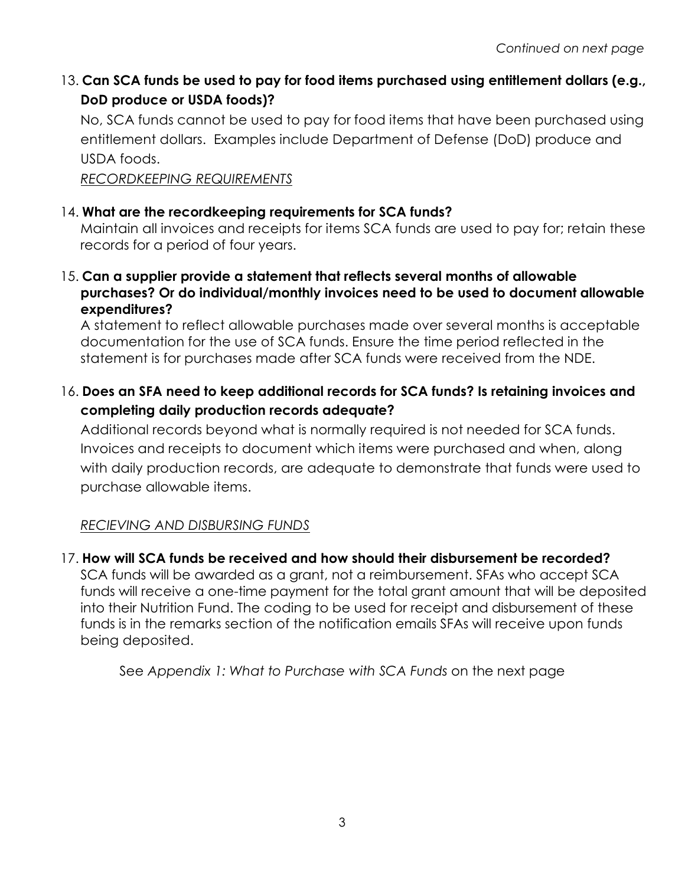# 13. **Can SCA funds be used to pay for food items purchased using entitlement dollars (e.g., DoD produce or USDA foods)?**

No, SCA funds cannot be used to pay for food items that have been purchased using entitlement dollars. Examples include Department of Defense (DoD) produce and USDA foods.

*RECORDKEEPING REQUIREMENTS*

## 14. **What are the recordkeeping requirements for SCA funds?**

Maintain all invoices and receipts for items SCA funds are used to pay for; retain these records for a period of four years.

15. **Can a supplier provide a statement that reflects several months of allowable purchases? Or do individual/monthly invoices need to be used to document allowable expenditures?**

A statement to reflect allowable purchases made over several months is acceptable documentation for the use of SCA funds. Ensure the time period reflected in the statement is for purchases made after SCA funds were received from the NDE.

## 16. **Does an SFA need to keep additional records for SCA funds? Is retaining invoices and completing daily production records adequate?**

Additional records beyond what is normally required is not needed for SCA funds. Invoices and receipts to document which items were purchased and when, along with daily production records, are adequate to demonstrate that funds were used to purchase allowable items.

## *RECIEVING AND DISBURSING FUNDS*

## 17. **How will SCA funds be received and how should their disbursement be recorded?**

SCA funds will be awarded as a grant, not a reimbursement. SFAs who accept SCA funds will receive a one-time payment for the total grant amount that will be deposited into their Nutrition Fund. The coding to be used for receipt and disbursement of these funds is in the remarks section of the notification emails SFAs will receive upon funds being deposited.

See *Appendix 1: What to Purchase with SCA Funds* on the next page